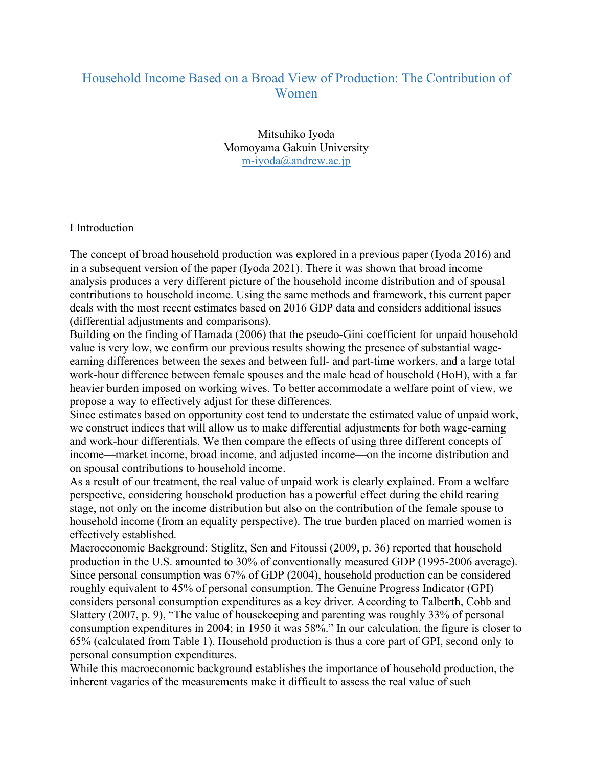## Household Income Based on a Broad View of Production: The Contribution of Women

Mitsuhiko Iyoda Momoyama Gakuin University m-iyoda@andrew.ac.jp

## I Introduction

The concept of broad household production was explored in a previous paper (Iyoda 2016) and in a subsequent version of the paper (Iyoda 2021). There it was shown that broad income analysis produces a very different picture of the household income distribution and of spousal contributions to household income. Using the same methods and framework, this current paper deals with the most recent estimates based on 2016 GDP data and considers additional issues (differential adjustments and comparisons).

Building on the finding of Hamada (2006) that the pseudo-Gini coefficient for unpaid household value is very low, we confirm our previous results showing the presence of substantial wageearning differences between the sexes and between full- and part-time workers, and a large total work-hour difference between female spouses and the male head of household (HoH), with a far heavier burden imposed on working wives. To better accommodate a welfare point of view, we propose a way to effectively adjust for these differences.

Since estimates based on opportunity cost tend to understate the estimated value of unpaid work, we construct indices that will allow us to make differential adjustments for both wage-earning and work-hour differentials. We then compare the effects of using three different concepts of income—market income, broad income, and adjusted income—on the income distribution and on spousal contributions to household income.

As a result of our treatment, the real value of unpaid work is clearly explained. From a welfare perspective, considering household production has a powerful effect during the child rearing stage, not only on the income distribution but also on the contribution of the female spouse to household income (from an equality perspective). The true burden placed on married women is effectively established.

Macroeconomic Background: Stiglitz, Sen and Fitoussi (2009, p. 36) reported that household production in the U.S. amounted to 30% of conventionally measured GDP (1995-2006 average). Since personal consumption was 67% of GDP (2004), household production can be considered roughly equivalent to 45% of personal consumption. The Genuine Progress Indicator (GPI) considers personal consumption expenditures as a key driver. According to Talberth, Cobb and Slattery (2007, p. 9), "The value of housekeeping and parenting was roughly 33% of personal consumption expenditures in 2004; in 1950 it was 58%." In our calculation, the figure is closer to 65% (calculated from Table 1). Household production is thus a core part of GPI, second only to personal consumption expenditures.

While this macroeconomic background establishes the importance of household production, the inherent vagaries of the measurements make it difficult to assess the real value of such